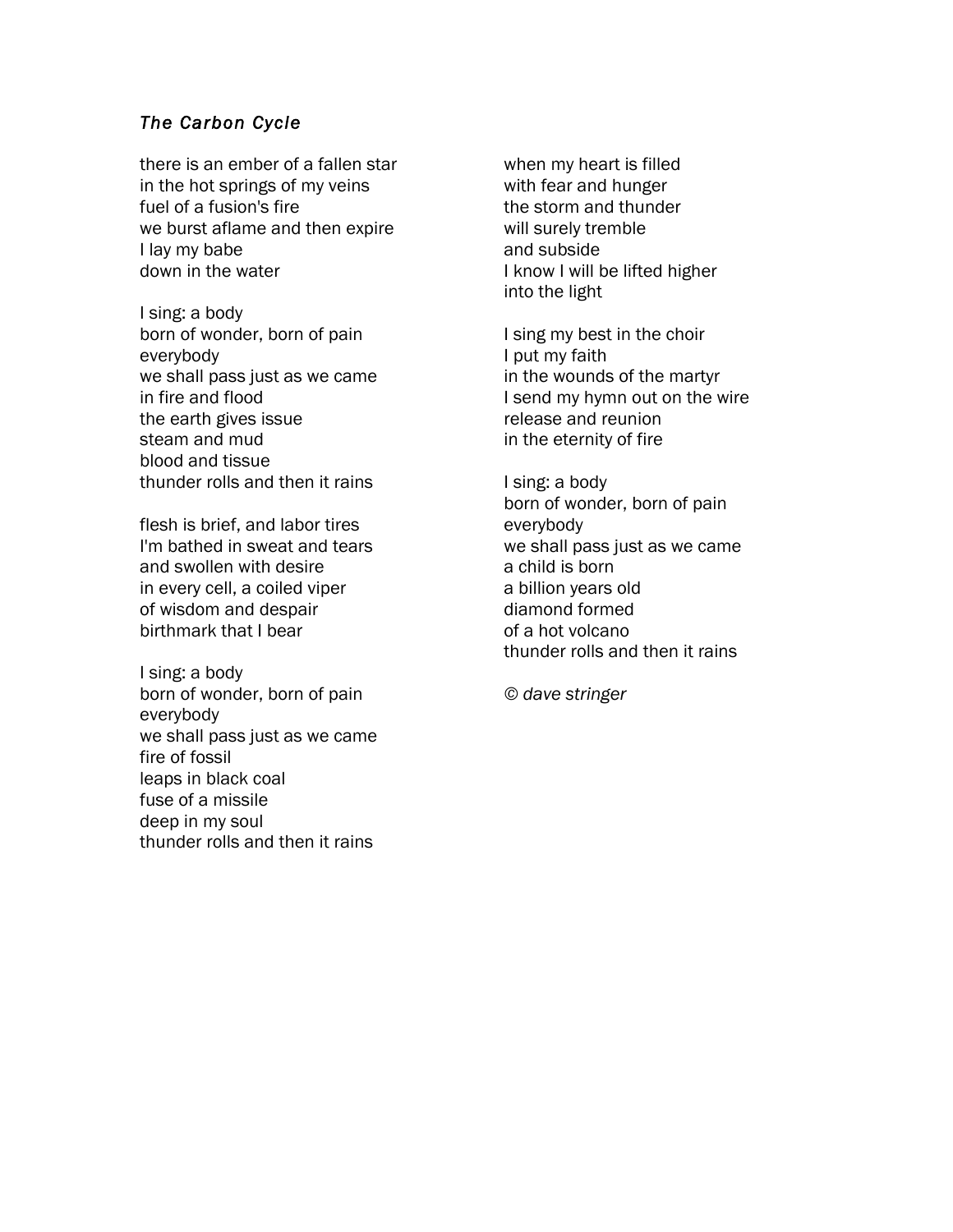### *The Carbon Cycle*

there is an ember of a fallen star in the hot springs of my veins fuel of a fusion's fire we burst aflame and then expire I lay my babe down in the water

I sing: a body born of wonder, born of pain everybody we shall pass just as we came in fire and flood the earth gives issue steam and mud blood and tissue thunder rolls and then it rains

flesh is brief, and labor tires I'm bathed in sweat and tears and swollen with desire in every cell, a coiled viper of wisdom and despair birthmark that I bear

I sing: a body born of wonder, born of pain everybody we shall pass just as we came fire of fossil leaps in black coal fuse of a missile deep in my soul thunder rolls and then it rains

when my heart is filled with fear and hunger the storm and thunder will surely tremble and subside I know I will be lifted higher into the light

I sing my best in the choir I put my faith in the wounds of the martyr I send my hymn out on the wire release and reunion in the eternity of fire

I sing: a body born of wonder, born of pain everybody we shall pass just as we came a child is born a billion years old diamond formed of a hot volcano thunder rolls and then it rains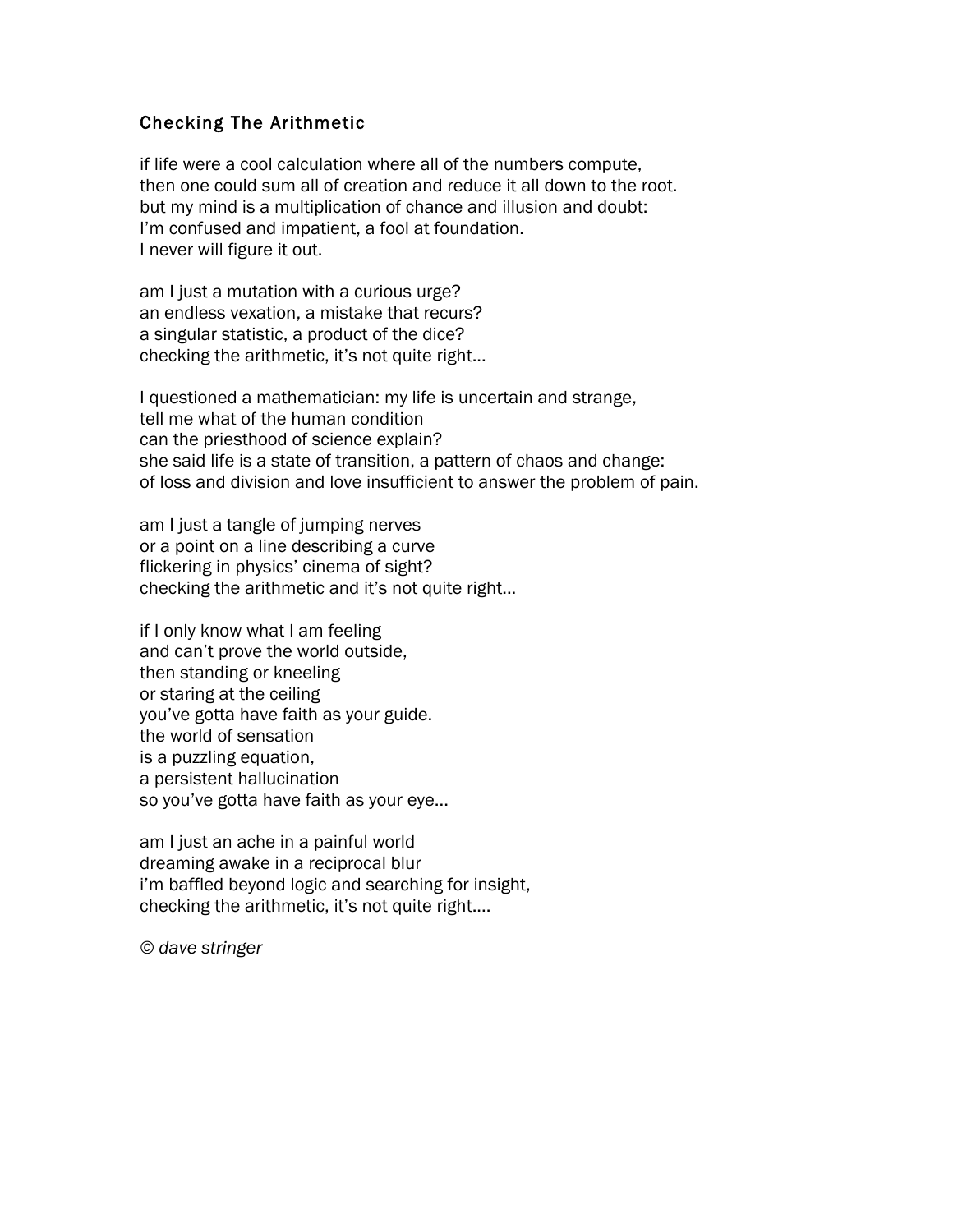## Checking The Arithmetic

if life were a cool calculation where all of the numbers compute, then one could sum all of creation and reduce it all down to the root. but my mind is a multiplication of chance and illusion and doubt: I'm confused and impatient, a fool at foundation. I never will figure it out.

am I just a mutation with a curious urge? an endless vexation, a mistake that recurs? a singular statistic, a product of the dice? checking the arithmetic, it's not quite right...

I questioned a mathematician: my life is uncertain and strange, tell me what of the human condition can the priesthood of science explain? she said life is a state of transition, a pattern of chaos and change: of loss and division and love insufficient to answer the problem of pain.

am I just a tangle of jumping nerves or a point on a line describing a curve flickering in physics' cinema of sight? checking the arithmetic and it's not quite right...

if I only know what I am feeling and can't prove the world outside, then standing or kneeling or staring at the ceiling you've gotta have faith as your guide. the world of sensation is a puzzling equation, a persistent hallucination so you've gotta have faith as your eye...

am I just an ache in a painful world dreaming awake in a reciprocal blur i'm baffled beyond logic and searching for insight, checking the arithmetic, it's not quite right....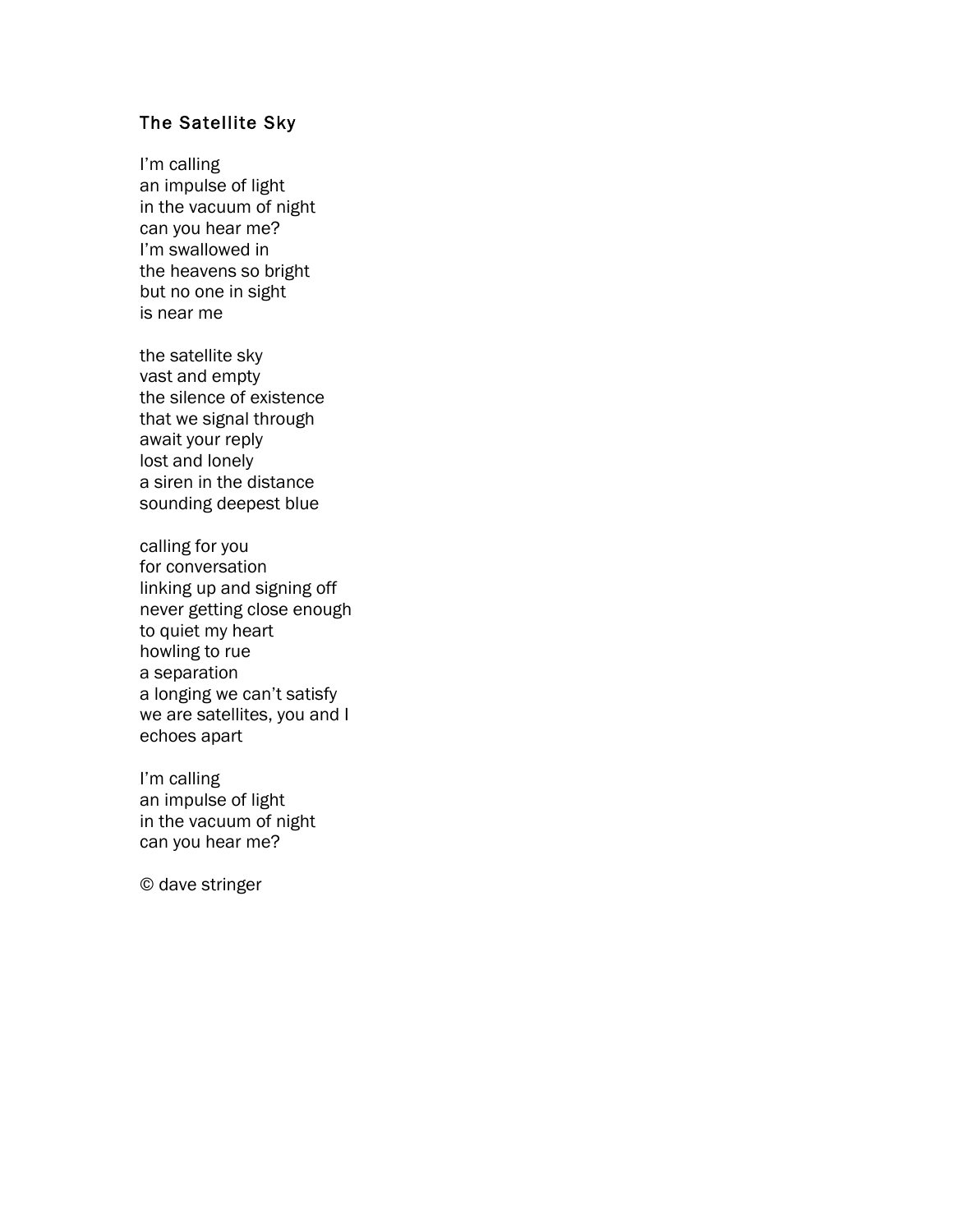# The Satellite Sky

I'm calling an impulse of light in the vacuum of night can you hear me? I'm swallowed in the heavens so bright but no one in sight is near me

the satellite sky vast and empty the silence of existence that we signal through await your reply lost and lonely a siren in the distance sounding deepest blue

calling for you for conversation linking up and signing off never getting close enough to quiet my heart howling to rue a separation a longing we can't satisfy we are satellites, you and I echoes apart

I'm calling an impulse of light in the vacuum of night can you hear me?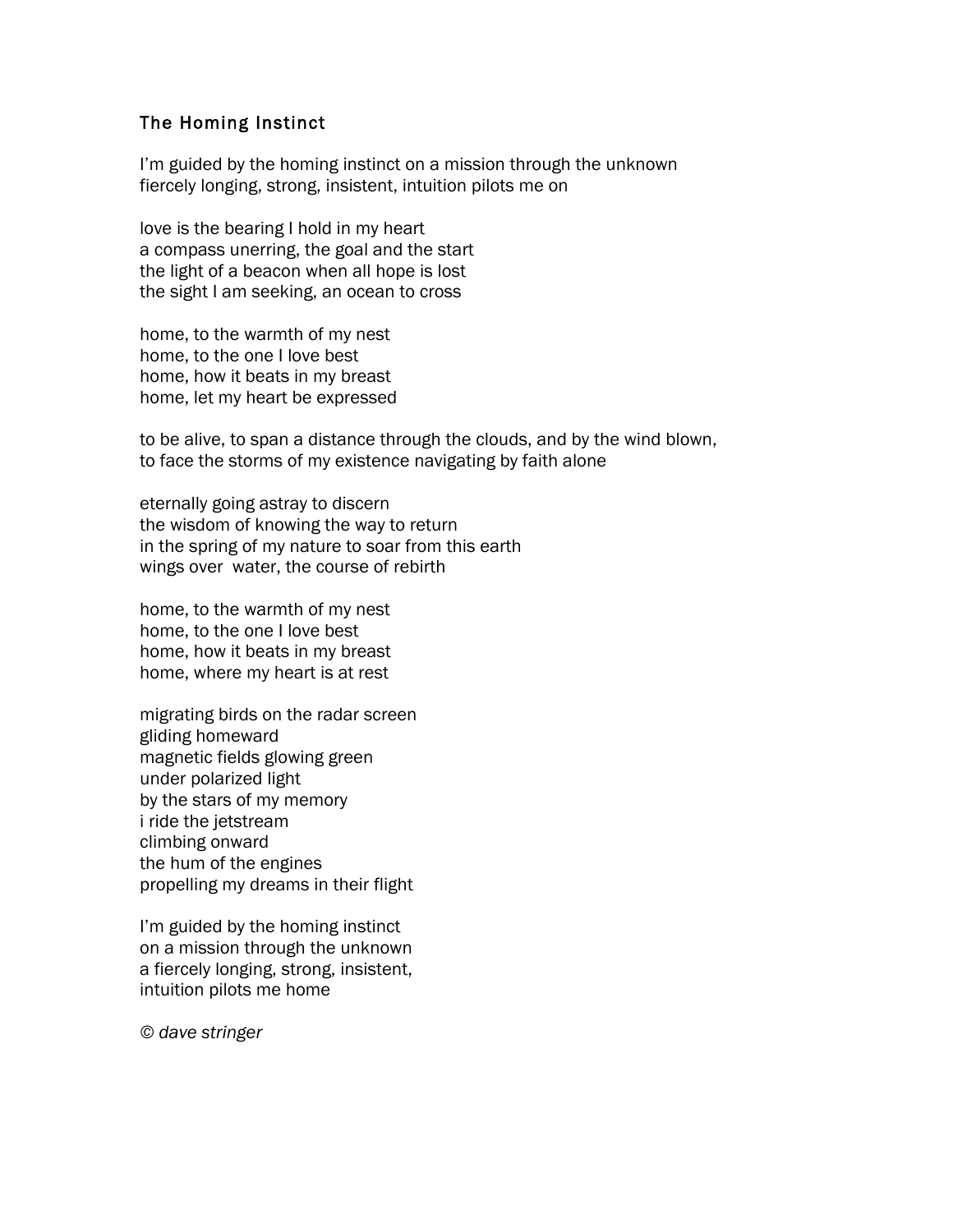### The Homing Instinct

I'm guided by the homing instinct on a mission through the unknown fiercely longing, strong, insistent, intuition pilots me on

love is the bearing I hold in my heart a compass unerring, the goal and the start the light of a beacon when all hope is lost the sight I am seeking, an ocean to cross

home, to the warmth of my nest home, to the one I love best home, how it beats in my breast home, let my heart be expressed

to be alive, to span a distance through the clouds, and by the wind blown, to face the storms of my existence navigating by faith alone

eternally going astray to discern the wisdom of knowing the way to return in the spring of my nature to soar from this earth wings over water, the course of rebirth

home, to the warmth of my nest home, to the one I love best home, how it beats in my breast home, where my heart is at rest

migrating birds on the radar screen gliding homeward magnetic fields glowing green under polarized light by the stars of my memory i ride the jetstream climbing onward the hum of the engines propelling my dreams in their flight

I'm guided by the homing instinct on a mission through the unknown a fiercely longing, strong, insistent, intuition pilots me home